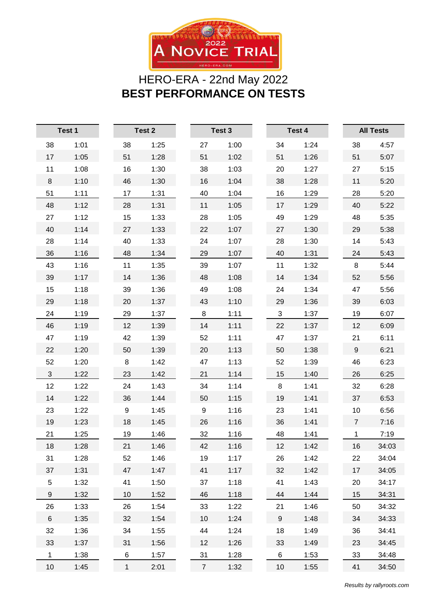

## HERO-ERA - 22nd May 2022 **BEST PERFORMANCE ON TESTS**

| Test 1         |      |             | Test 2 |  | Test 3         |      | Test 4 |      | <b>All Tests</b> |       |
|----------------|------|-------------|--------|--|----------------|------|--------|------|------------------|-------|
| 38             | 1:01 | 38          | 1:25   |  | 27             | 1:00 | 34     | 1:24 | 38               | 4:57  |
| 17             | 1:05 | 51          | 1:28   |  | 51             | 1:02 | 51     | 1:26 | 51               | 5:07  |
| 11             | 1:08 | 16          | 1:30   |  | 38             | 1:03 | 20     | 1:27 | 27               | 5:15  |
| 8              | 1:10 | 46          | 1:30   |  | 16             | 1:04 | 38     | 1:28 | 11               | 5:20  |
| 51             | 1:11 | 17          | 1:31   |  | 40             | 1:04 | 16     | 1:29 | 28               | 5:20  |
| 48             | 1:12 | 28          | 1:31   |  | 11             | 1:05 | 17     | 1:29 | 40               | 5:22  |
| 27             | 1:12 | 15          | 1:33   |  | 28             | 1:05 | 49     | 1:29 | 48               | 5:35  |
| 40             | 1:14 | 27          | 1:33   |  | 22             | 1:07 | 27     | 1:30 | 29               | 5:38  |
| 28             | 1:14 | 40          | 1:33   |  | 24             | 1:07 | 28     | 1:30 | 14               | 5:43  |
| 36             | 1:16 | 48          | 1:34   |  | 29             | 1:07 | 40     | 1:31 | 24               | 5:43  |
| 43             | 1:16 | 11          | 1:35   |  | 39             | 1:07 | 11     | 1:32 | 8                | 5:44  |
| 39             | 1:17 | 14          | 1:36   |  | 48             | 1:08 | 14     | 1:34 | 52               | 5:56  |
| 15             | 1:18 | 39          | 1:36   |  | 49             | 1:08 | 24     | 1:34 | 47               | 5:56  |
| 29             | 1:18 | 20          | 1:37   |  | 43             | 1:10 | 29     | 1:36 | 39               | 6:03  |
| 24             | 1:19 | 29          | 1:37   |  | 8              | 1:11 | 3      | 1:37 | 19               | 6:07  |
| 46             | 1:19 | 12          | 1:39   |  | 14             | 1:11 | 22     | 1:37 | 12               | 6:09  |
| 47             | 1:19 | 42          | 1:39   |  | 52             | 1:11 | 47     | 1:37 | 21               | 6:11  |
| 22             | 1:20 | 50          | 1:39   |  | 20             | 1:13 | 50     | 1:38 | 9                | 6:21  |
| 52             | 1:20 | 8           | 1:42   |  | 47             | 1:13 | 52     | 1:39 | 46               | 6:23  |
| $\mathfrak{S}$ | 1:22 | 23          | 1:42   |  | 21             | 1:14 | 15     | 1:40 | 26               | 6:25  |
| 12             | 1:22 | 24          | 1:43   |  | 34             | 1:14 | 8      | 1:41 | 32               | 6:28  |
| 14             | 1:22 | 36          | 1:44   |  | 50             | 1:15 | 19     | 1:41 | 37               | 6:53  |
| 23             | 1:22 | 9           | 1:45   |  | 9              | 1:16 | 23     | 1:41 | 10               | 6:56  |
| 19             | 1:23 | 18          | 1:45   |  | 26             | 1:16 | 36     | 1:41 | $\overline{7}$   | 7:16  |
| 21             | 1:25 | 19          | 1:46   |  | 32             | 1:16 | 48     | 1:41 | 1                | 7:19  |
| 18             | 1:28 | 21          | 1:46   |  | 42             | 1:16 | 12     | 1:42 | 16               | 34:03 |
| 31             | 1:28 | 52          | 1:46   |  | 19             | 1:17 | 26     | 1:42 | 22               | 34:04 |
| 37             | 1:31 | 47          | 1:47   |  | 41             | 1:17 | 32     | 1:42 | 17               | 34:05 |
| $\sqrt{5}$     | 1:32 | 41          | 1:50   |  | 37             | 1:18 | 41     | 1:43 | 20               | 34:17 |
| 9              | 1:32 | 10          | 1:52   |  | 46             | 1:18 | 44     | 1:44 | 15               | 34:31 |
| 26             | 1:33 | 26          | 1:54   |  | 33             | 1:22 | 21     | 1:46 | 50               | 34:32 |
| $\,6$          | 1:35 | 32          | 1:54   |  | 10             | 1:24 | $9\,$  | 1:48 | 34               | 34:33 |
| 32             | 1:36 | 34          | 1:55   |  | 44             | 1:24 | 18     | 1:49 | 36               | 34:41 |
| 33             | 1:37 | 31          | 1:56   |  | 12             | 1:26 | 33     | 1:49 | 23               | 34:45 |
| 1              | 1:38 | $\,6$       | 1:57   |  | 31             | 1:28 | 6      | 1:53 | 33               | 34:48 |
| $10$           | 1:45 | $\mathbf 1$ | 2:01   |  | $\overline{7}$ | 1:32 | $10$   | 1:55 | 41               | 34:50 |

*Results by rallyroots.com*